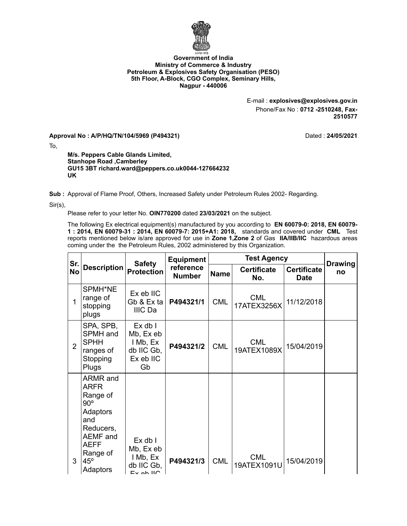

## **Government of India Ministry of Commerce & Industry Petroleum & Explosives Safety Organisation (PESO) 5th Floor, A-Block, CGO Complex, Seminary Hills, Nagpur - 440006**

E-mail : **explosives@explosives.gov.in** Phone/Fax No : **0712 -2510248, Fax-2510577**

**Approval No : A/P/HQ/TN/104/5969 (P494321)** Dated : **24/05/2021**

To,

**M/s. Peppers Cable Glands Limited, Stanhope Road ,Camberley GU15 3BT richard.ward@peppers.co.uk0044-127664232 UK**

**Sub :** Approval of Flame Proof, Others, Increased Safety under Petroleum Rules 2002- Regarding.

Sir(s),

Please refer to your letter No. **OIN770200** dated **23/03/2021** on the subject.

The following Ex electrical equipment(s) manufactured by you according to **EN 60079-0: 2018, EN 60079- 1 : 2014, EN 60079-31 : 2014, EN 60079-7: 2015+A1: 2018,** standards and covered under **CML** Test reports mentioned below is/are approved for use in **Zone 1,Zone 2** of Gas **IIA/IIB/IIC** hazardous areas coming under the the Petroleum Rules, 2002 administered by this Organization.

| Sr.            | <b>Description</b>                                                                                                                       | <b>Safety</b><br><b>Protection</b>                                    | <b>Equipment</b>           |             |                           |                            |                      |
|----------------|------------------------------------------------------------------------------------------------------------------------------------------|-----------------------------------------------------------------------|----------------------------|-------------|---------------------------|----------------------------|----------------------|
| <b>No</b>      |                                                                                                                                          |                                                                       | reference<br><b>Number</b> | <b>Name</b> | <b>Certificate</b><br>No. | <b>Certificate</b><br>Date | <b>Drawing</b><br>no |
| 1              | SPMH*NE<br>range of<br>stopping<br>plugs                                                                                                 | Ex eb IIC<br>Gb & Ex ta<br>IIIC Da                                    | P494321/1                  | <b>CML</b>  | <b>CML</b><br>17ATEX3256X | 11/12/2018                 |                      |
| $\overline{2}$ | SPA, SPB,<br>SPMH and<br><b>SPHH</b><br>ranges of<br>Stopping<br>Plugs                                                                   | $Ex$ db $I$<br>Mb, Ex eb<br>I Mb, Ex<br>db IIC Gb,<br>Ex eb IIC<br>Gb | P494321/2                  | <b>CML</b>  | <b>CML</b><br>19ATEX1089X | 15/04/2019                 |                      |
| 3              | ARMR and<br>ARFR<br>Range of<br>$90^{\circ}$<br>Adaptors<br>and<br>Reducers,<br>AEMF and<br>AEFF<br>Range of<br>$45^{\circ}$<br>Adaptors | Ex db I<br>Mb, Ex eb<br>I Mb, Ex<br>db IIC Gb,<br>$E_{V}$ ah $H\cap$  | P494321/3                  | <b>CML</b>  | <b>CML</b><br>19ATEX1091U | 15/04/2019                 |                      |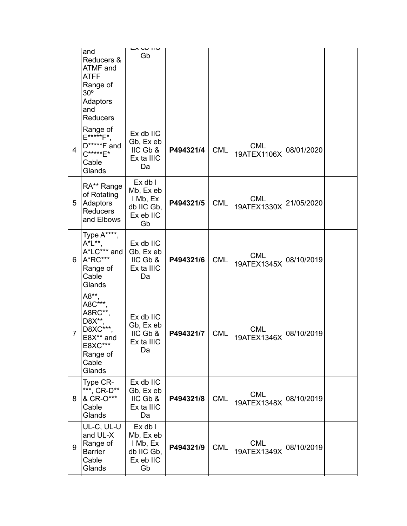|   | and<br>Reducers &<br>ATMF and<br>ATFF<br>Range of<br>$30^{\circ}$<br>Adaptors<br>and<br><b>Reducers</b> | LA GN IIV<br>Gb                                                       |           |            |                           |            |  |
|---|---------------------------------------------------------------------------------------------------------|-----------------------------------------------------------------------|-----------|------------|---------------------------|------------|--|
| 4 | Range of<br>E*****F*,<br>$D****F$ and<br>$C^{****}E^*$<br>Cable<br>Glands                               | Ex db IIC<br>Gb, Ex eb<br>IIC Gb &<br>Ex ta IIIC<br>Da                | P494321/4 | <b>CML</b> | <b>CML</b><br>19ATEX1106X | 08/01/2020 |  |
| 5 | RA** Range<br>of Rotating<br>Adaptors<br><b>Reducers</b><br>and Elbows                                  | Ex db I<br>Mb, Ex eb<br>I Mb, Ex<br>db IIC Gb,<br>Ex eb IIC<br>Gb     | P494321/5 | <b>CML</b> | <b>CML</b><br>19ATEX1330X | 21/05/2020 |  |
| 6 | Type A****,<br>A*L**<br>A*LC*** and<br>A*RC***<br>Range of<br>Cable<br>Glands                           | Ex db IIC<br>Gb, Ex eb<br>IIC Gb &<br>Ex ta IIIC<br>Da                | P494321/6 | <b>CML</b> | <b>CML</b><br>19ATEX1345X | 08/10/2019 |  |
| 7 | A8**,<br>A8C***.<br>A8RC**,<br>D8X**.<br>D8XC***<br>E8X** and<br>E8XC***<br>Range of<br>Cable<br>Glands | Ex db IIC<br>Gb, Ex eb<br>IIC Gb &<br>Ex ta IIIC<br>Da                | P494321/7 | <b>CML</b> | <b>CML</b><br>19ATEX1346X | 08/10/2019 |  |
| 8 | Type CR-<br>***, CR-D**<br>& CR-O***<br>Cable<br>Glands                                                 | Ex db IIC<br>Gb, Ex eb<br>IIC Gb &<br>Ex ta IIIC<br>Da                | P494321/8 | <b>CML</b> | <b>CML</b><br>19ATEX1348X | 08/10/2019 |  |
| 9 | UL-C, UL-U<br>and UL-X<br>Range of<br><b>Barrier</b><br>Cable<br>Glands                                 | $Ex$ db $I$<br>Mb, Ex eb<br>I Mb, Ex<br>db IIC Gb,<br>Ex eb IIC<br>Gb | P494321/9 | <b>CML</b> | <b>CML</b><br>19ATEX1349X | 08/10/2019 |  |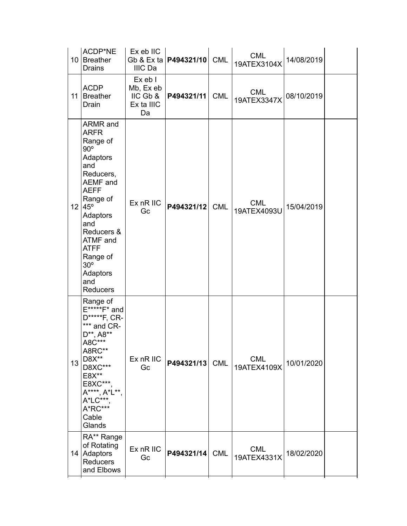|    | ACDP*NE<br>10 Breather<br><b>Drains</b>                                                                                                                                                                                                                             | Ex eb IIC<br>IIIC Da                                 | Gb & Ex ta   <b>P494321/10</b> | <b>CML</b> | <b>CML</b><br>19ATEX3104X | 14/08/2019 |  |
|----|---------------------------------------------------------------------------------------------------------------------------------------------------------------------------------------------------------------------------------------------------------------------|------------------------------------------------------|--------------------------------|------------|---------------------------|------------|--|
|    | <b>ACDP</b><br>11 Breather<br>Drain                                                                                                                                                                                                                                 | Ex eb I<br>Mb, Ex eb<br>IIC Gb &<br>Ex ta IIIC<br>Da | P494321/11                     | <b>CML</b> | <b>CML</b><br>19ATEX3347X | 08/10/2019 |  |
|    | ARMR and<br><b>ARFR</b><br>Range of<br>$90^\circ$<br>Adaptors<br>and<br>Reducers,<br>AEMF and<br><b>AEFF</b><br>Range of<br>12 45°<br>Adaptors<br>and<br>Reducers &<br>ATMF and<br><b>ATFF</b><br>Range of<br>30 <sup>o</sup><br>Adaptors<br>and<br><b>Reducers</b> | Ex nR IIC<br>Gc                                      | P494321/12                     | <b>CML</b> | <b>CML</b><br>19ATEX4093U | 15/04/2019 |  |
| 13 | Range of<br>E*****F* and<br>D*****F, CR-<br>*** and CR-<br>D**, A8**<br>A8C***<br>A8RC**<br>D8X**<br>D8XC***<br>E8X**<br>E8XC***<br>A****, A*L**,<br>A*LC***<br>A*RC***<br>Cable<br>Glands                                                                          | Ex nR IIC<br>Gc                                      | P494321/13                     | <b>CML</b> | <b>CML</b><br>19ATEX4109X | 10/01/2020 |  |
|    | RA** Range<br>of Rotating<br>14 Adaptors<br>Reducers<br>and Elbows                                                                                                                                                                                                  | Ex nR IIC<br>Gc                                      | P494321/14                     | <b>CML</b> | <b>CML</b><br>19ATEX4331X | 18/02/2020 |  |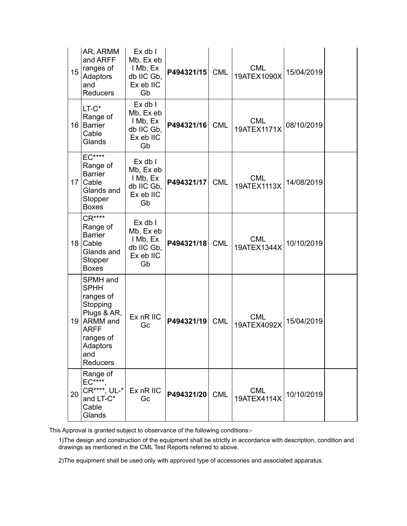| 15 | AR, ARMM<br>and ARFF<br>ranges of<br>Adaptors<br>and<br><b>Reducers</b>                                                                          | Ex db I<br>Mb, Ex eb<br>I Mb, Ex<br>db IIC Gb,<br>Ex eb IIC<br>Gb     | P494321/15 | <b>CML</b> | <b>CML</b><br>19ATEX1090X | 15/04/2019 |  |
|----|--------------------------------------------------------------------------------------------------------------------------------------------------|-----------------------------------------------------------------------|------------|------------|---------------------------|------------|--|
|    | $LT-C^*$<br>Range of<br>16 Barrier<br>Cable<br>Glands                                                                                            | $Ex$ db $I$<br>Mb, Ex eb<br>I Mb, Ex<br>db IIC Gb,<br>Ex eb IIC<br>Gb | P494321/16 | <b>CML</b> | <b>CML</b><br>19ATEX1171X | 08/10/2019 |  |
| 17 | <b>EC****</b><br>Range of<br><b>Barrier</b><br>Cable<br>Glands and<br>Stopper<br><b>Boxes</b>                                                    | $Ex$ db $I$<br>Mb, Ex eb<br>I Mb, Ex<br>db IIC Gb,<br>Ex eb IIC<br>Gb | P494321/17 | <b>CML</b> | <b>CML</b><br>19ATEX1113X | 14/08/2019 |  |
|    | $CR***$<br>Range of<br><b>Barrier</b><br>18 Cable<br>Glands and<br>Stopper<br><b>Boxes</b>                                                       | Ex db I<br>Mb, Ex eb<br>I Mb, Ex<br>db IIC Gb,<br>Ex eb IIC<br>Gb     | P494321/18 | <b>CML</b> | <b>CML</b><br>19ATEX1344X | 10/10/2019 |  |
|    | SPMH and<br><b>SPHH</b><br>ranges of<br>Stopping<br>Plugs & AR,<br>19 ARMM and<br><b>ARFF</b><br>ranges of<br>Adaptors<br>and<br><b>Reducers</b> | Ex nR IIC<br>Gc                                                       | P494321/19 | <b>CML</b> | <b>CML</b><br>19ATEX4092X | 15/04/2019 |  |
| 20 | Range of<br>$EC***$<br>CR****, UL-*<br>and LT-C*<br>Cable<br>Glands                                                                              | Ex nR IIC<br>Gc                                                       | P494321/20 | <b>CML</b> | <b>CML</b><br>19ATEX4114X | 10/10/2019 |  |

This Approval is granted subject to observance of the following conditions:-

1)The design and construction of the equipment shall be strictly in accordance with description, condition and drawings as mentioned in the CML Test Reports referred to above.

2)The equipment shall be used only with approved type of accessories and associated apparatus.